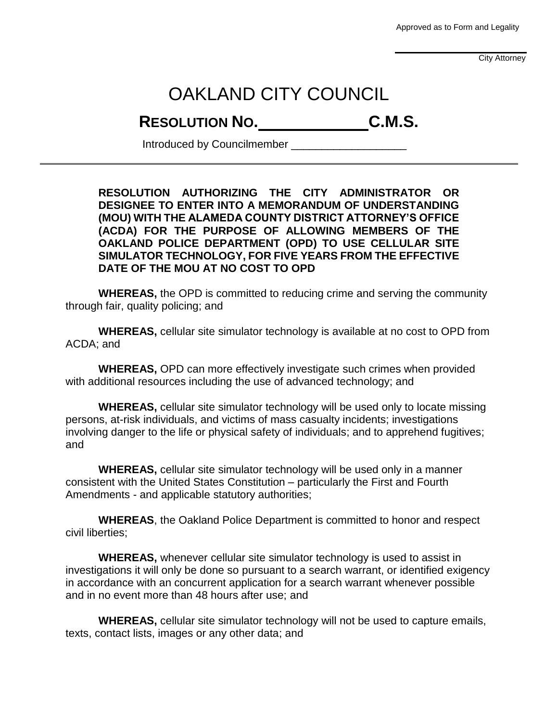Approved as to Form and Legality

City Attorney

## OAKLAND CITY COUNCIL

## **RESOLUTION NO. C.M.S.**

Introduced by Councilmember \_\_\_\_\_\_\_\_\_\_\_\_\_\_\_\_\_\_\_

**RESOLUTION AUTHORIZING THE CITY ADMINISTRATOR OR DESIGNEE TO ENTER INTO A MEMORANDUM OF UNDERSTANDING (MOU) WITH THE ALAMEDA COUNTY DISTRICT ATTORNEY'S OFFICE (ACDA) FOR THE PURPOSE OF ALLOWING MEMBERS OF THE OAKLAND POLICE DEPARTMENT (OPD) TO USE CELLULAR SITE SIMULATOR TECHNOLOGY, FOR FIVE YEARS FROM THE EFFECTIVE DATE OF THE MOU AT NO COST TO OPD**

**WHEREAS,** the OPD is committed to reducing crime and serving the community through fair, quality policing; and

**WHEREAS,** cellular site simulator technology is available at no cost to OPD from ACDA; and

**WHEREAS,** OPD can more effectively investigate such crimes when provided with additional resources including the use of advanced technology; and

**WHEREAS,** cellular site simulator technology will be used only to locate missing persons, at-risk individuals, and victims of mass casualty incidents; investigations involving danger to the life or physical safety of individuals; and to apprehend fugitives; and

**WHEREAS,** cellular site simulator technology will be used only in a manner consistent with the United States Constitution – particularly the First and Fourth Amendments - and applicable statutory authorities;

**WHEREAS**, the Oakland Police Department is committed to honor and respect civil liberties;

**WHEREAS,** whenever cellular site simulator technology is used to assist in investigations it will only be done so pursuant to a search warrant, or identified exigency in accordance with an concurrent application for a search warrant whenever possible and in no event more than 48 hours after use; and

**WHEREAS,** cellular site simulator technology will not be used to capture emails, texts, contact lists, images or any other data; and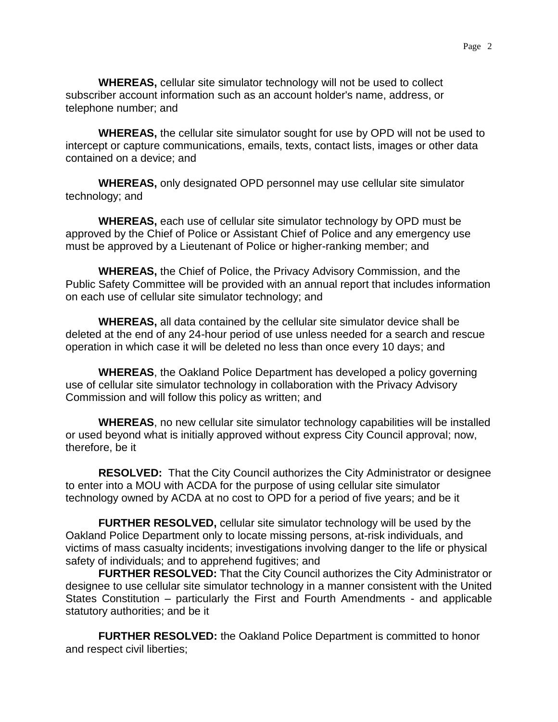**WHEREAS,** cellular site simulator technology will not be used to collect subscriber account information such as an account holder's name, address, or telephone number; and

**WHEREAS,** the cellular site simulator sought for use by OPD will not be used to intercept or capture communications, emails, texts, contact lists, images or other data contained on a device; and

**WHEREAS,** only designated OPD personnel may use cellular site simulator technology; and

**WHEREAS,** each use of cellular site simulator technology by OPD must be approved by the Chief of Police or Assistant Chief of Police and any emergency use must be approved by a Lieutenant of Police or higher-ranking member; and

**WHEREAS,** the Chief of Police, the Privacy Advisory Commission, and the Public Safety Committee will be provided with an annual report that includes information on each use of cellular site simulator technology; and

**WHEREAS,** all data contained by the cellular site simulator device shall be deleted at the end of any 24-hour period of use unless needed for a search and rescue operation in which case it will be deleted no less than once every 10 days; and

**WHEREAS**, the Oakland Police Department has developed a policy governing use of cellular site simulator technology in collaboration with the Privacy Advisory Commission and will follow this policy as written; and

**WHEREAS**, no new cellular site simulator technology capabilities will be installed or used beyond what is initially approved without express City Council approval; now, therefore, be it

**RESOLVED:** That the City Council authorizes the City Administrator or designee to enter into a MOU with ACDA for the purpose of using cellular site simulator technology owned by ACDA at no cost to OPD for a period of five years; and be it

**FURTHER RESOLVED,** cellular site simulator technology will be used by the Oakland Police Department only to locate missing persons, at-risk individuals, and victims of mass casualty incidents; investigations involving danger to the life or physical safety of individuals; and to apprehend fugitives; and

**FURTHER RESOLVED:** That the City Council authorizes the City Administrator or designee to use cellular site simulator technology in a manner consistent with the United States Constitution – particularly the First and Fourth Amendments - and applicable statutory authorities; and be it

**FURTHER RESOLVED:** the Oakland Police Department is committed to honor and respect civil liberties;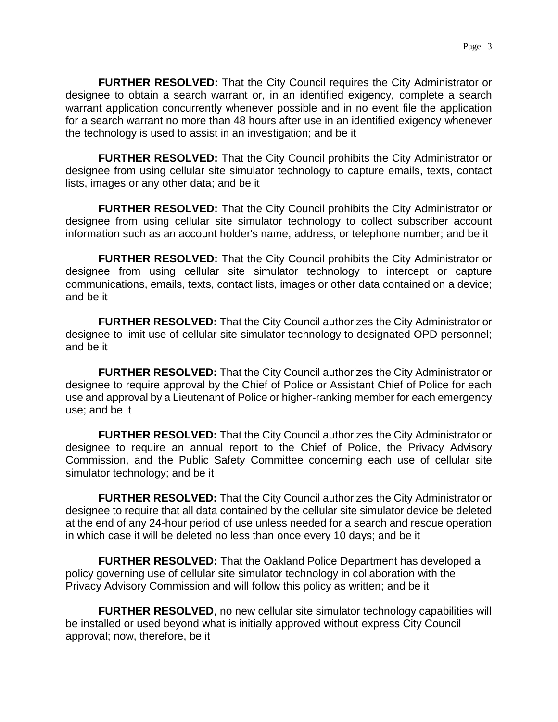**FURTHER RESOLVED:** That the City Council requires the City Administrator or designee to obtain a search warrant or, in an identified exigency, complete a search warrant application concurrently whenever possible and in no event file the application for a search warrant no more than 48 hours after use in an identified exigency whenever the technology is used to assist in an investigation; and be it

**FURTHER RESOLVED:** That the City Council prohibits the City Administrator or designee from using cellular site simulator technology to capture emails, texts, contact lists, images or any other data; and be it

**FURTHER RESOLVED:** That the City Council prohibits the City Administrator or designee from using cellular site simulator technology to collect subscriber account information such as an account holder's name, address, or telephone number; and be it

**FURTHER RESOLVED:** That the City Council prohibits the City Administrator or designee from using cellular site simulator technology to intercept or capture communications, emails, texts, contact lists, images or other data contained on a device; and be it

**FURTHER RESOLVED:** That the City Council authorizes the City Administrator or designee to limit use of cellular site simulator technology to designated OPD personnel; and be it

**FURTHER RESOLVED:** That the City Council authorizes the City Administrator or designee to require approval by the Chief of Police or Assistant Chief of Police for each use and approval by a Lieutenant of Police or higher-ranking member for each emergency use; and be it

**FURTHER RESOLVED:** That the City Council authorizes the City Administrator or designee to require an annual report to the Chief of Police, the Privacy Advisory Commission, and the Public Safety Committee concerning each use of cellular site simulator technology; and be it

**FURTHER RESOLVED:** That the City Council authorizes the City Administrator or designee to require that all data contained by the cellular site simulator device be deleted at the end of any 24-hour period of use unless needed for a search and rescue operation in which case it will be deleted no less than once every 10 days; and be it

**FURTHER RESOLVED:** That the Oakland Police Department has developed a policy governing use of cellular site simulator technology in collaboration with the Privacy Advisory Commission and will follow this policy as written; and be it

**FURTHER RESOLVED, no new cellular site simulator technology capabilities will** be installed or used beyond what is initially approved without express City Council approval; now, therefore, be it